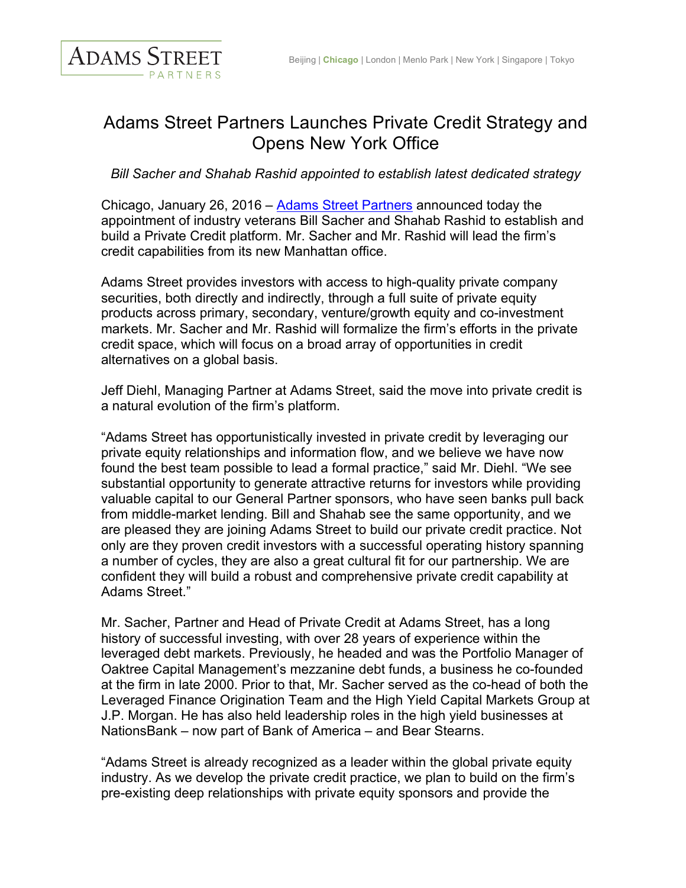

## Adams Street Partners Launches Private Credit Strategy and Opens New York Office

*Bill Sacher and Shahab Rashid appointed to establish latest dedicated strategy*

Chicago, January 26, 2016 – Adams Street Partners announced today the appointment of industry veterans Bill Sacher and Shahab Rashid to establish and build a Private Credit platform. Mr. Sacher and Mr. Rashid will lead the firm's credit capabilities from its new Manhattan office.

Adams Street provides investors with access to high-quality private company securities, both directly and indirectly, through a full suite of private equity products across primary, secondary, venture/growth equity and co-investment markets. Mr. Sacher and Mr. Rashid will formalize the firm's efforts in the private credit space, which will focus on a broad array of opportunities in credit alternatives on a global basis.

Jeff Diehl, Managing Partner at Adams Street, said the move into private credit is a natural evolution of the firm's platform.

"Adams Street has opportunistically invested in private credit by leveraging our private equity relationships and information flow, and we believe we have now found the best team possible to lead a formal practice," said Mr. Diehl. "We see substantial opportunity to generate attractive returns for investors while providing valuable capital to our General Partner sponsors, who have seen banks pull back from middle-market lending. Bill and Shahab see the same opportunity, and we are pleased they are joining Adams Street to build our private credit practice. Not only are they proven credit investors with a successful operating history spanning a number of cycles, they are also a great cultural fit for our partnership. We are confident they will build a robust and comprehensive private credit capability at Adams Street."

Mr. Sacher, Partner and Head of Private Credit at Adams Street, has a long history of successful investing, with over 28 years of experience within the leveraged debt markets. Previously, he headed and was the Portfolio Manager of Oaktree Capital Management's mezzanine debt funds, a business he co-founded at the firm in late 2000. Prior to that, Mr. Sacher served as the co-head of both the Leveraged Finance Origination Team and the High Yield Capital Markets Group at J.P. Morgan. He has also held leadership roles in the high yield businesses at NationsBank – now part of Bank of America – and Bear Stearns.

"Adams Street is already recognized as a leader within the global private equity industry. As we develop the private credit practice, we plan to build on the firm's pre-existing deep relationships with private equity sponsors and provide the